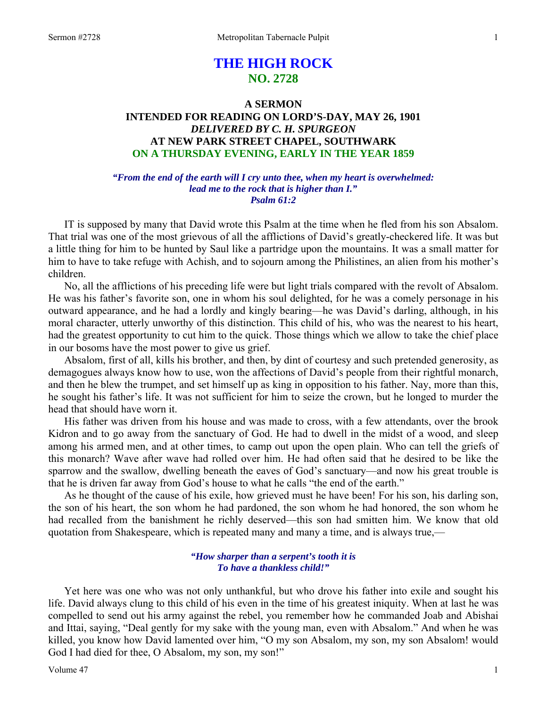# **THE HIGH ROCK NO. 2728**

# **A SERMON INTENDED FOR READING ON LORD'S-DAY, MAY 26, 1901**  *DELIVERED BY C. H. SPURGEON*  **AT NEW PARK STREET CHAPEL, SOUTHWARK ON A THURSDAY EVENING, EARLY IN THE YEAR 1859**

# *"From the end of the earth will I cry unto thee, when my heart is overwhelmed: lead me to the rock that is higher than I." Psalm 61:2*

IT is supposed by many that David wrote this Psalm at the time when he fled from his son Absalom. That trial was one of the most grievous of all the afflictions of David's greatly-checkered life. It was but a little thing for him to be hunted by Saul like a partridge upon the mountains. It was a small matter for him to have to take refuge with Achish, and to sojourn among the Philistines, an alien from his mother's children.

 No, all the afflictions of his preceding life were but light trials compared with the revolt of Absalom. He was his father's favorite son, one in whom his soul delighted, for he was a comely personage in his outward appearance, and he had a lordly and kingly bearing—he was David's darling, although, in his moral character, utterly unworthy of this distinction. This child of his, who was the nearest to his heart, had the greatest opportunity to cut him to the quick. Those things which we allow to take the chief place in our bosoms have the most power to give us grief.

 Absalom, first of all, kills his brother, and then, by dint of courtesy and such pretended generosity, as demagogues always know how to use, won the affections of David's people from their rightful monarch, and then he blew the trumpet, and set himself up as king in opposition to his father. Nay, more than this, he sought his father's life. It was not sufficient for him to seize the crown, but he longed to murder the head that should have worn it.

 His father was driven from his house and was made to cross, with a few attendants, over the brook Kidron and to go away from the sanctuary of God. He had to dwell in the midst of a wood, and sleep among his armed men, and at other times, to camp out upon the open plain. Who can tell the griefs of this monarch? Wave after wave had rolled over him. He had often said that he desired to be like the sparrow and the swallow, dwelling beneath the eaves of God's sanctuary—and now his great trouble is that he is driven far away from God's house to what he calls "the end of the earth."

 As he thought of the cause of his exile, how grieved must he have been! For his son, his darling son, the son of his heart, the son whom he had pardoned, the son whom he had honored, the son whom he had recalled from the banishment he richly deserved—this son had smitten him. We know that old quotation from Shakespeare, which is repeated many and many a time, and is always true,—

# *"How sharper than a serpent's tooth it is To have a thankless child!"*

 Yet here was one who was not only unthankful, but who drove his father into exile and sought his life. David always clung to this child of his even in the time of his greatest iniquity. When at last he was compelled to send out his army against the rebel, you remember how he commanded Joab and Abishai and Ittai, saying, "Deal gently for my sake with the young man, even with Absalom." And when he was killed, you know how David lamented over him, "O my son Absalom, my son, my son Absalom! would God I had died for thee, O Absalom, my son, my son!"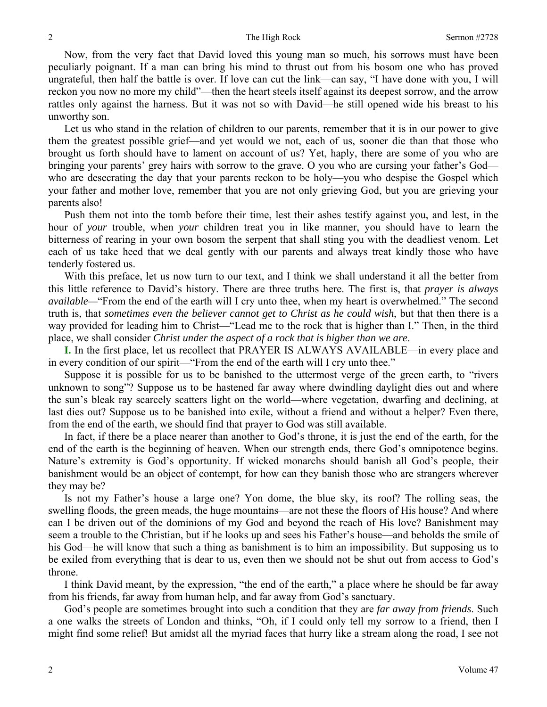### 2 2 The High Rock Sermon #2728

 Now, from the very fact that David loved this young man so much, his sorrows must have been peculiarly poignant. If a man can bring his mind to thrust out from his bosom one who has proved ungrateful, then half the battle is over. If love can cut the link—can say, "I have done with you, I will reckon you now no more my child"—then the heart steels itself against its deepest sorrow, and the arrow rattles only against the harness. But it was not so with David—he still opened wide his breast to his unworthy son.

 Let us who stand in the relation of children to our parents, remember that it is in our power to give them the greatest possible grief—and yet would we not, each of us, sooner die than that those who brought us forth should have to lament on account of us? Yet, haply, there are some of you who are bringing your parents' grey hairs with sorrow to the grave. O you who are cursing your father's God who are desecrating the day that your parents reckon to be holy—you who despise the Gospel which your father and mother love, remember that you are not only grieving God, but you are grieving your parents also!

 Push them not into the tomb before their time, lest their ashes testify against you, and lest, in the hour of *your* trouble, when *your* children treat you in like manner, you should have to learn the bitterness of rearing in your own bosom the serpent that shall sting you with the deadliest venom. Let each of us take heed that we deal gently with our parents and always treat kindly those who have tenderly fostered us.

 With this preface, let us now turn to our text, and I think we shall understand it all the better from this little reference to David's history. There are three truths here. The first is, that *prayer is always available*—"From the end of the earth will I cry unto thee, when my heart is overwhelmed." The second truth is, that *sometimes even the believer cannot get to Christ as he could wish*, but that then there is a way provided for leading him to Christ—"Lead me to the rock that is higher than I." Then, in the third place, we shall consider *Christ under the aspect of a rock that is higher than we are*.

**I.** In the first place, let us recollect that PRAYER IS ALWAYS AVAILABLE—in every place and in every condition of our spirit—"From the end of the earth will I cry unto thee."

 Suppose it is possible for us to be banished to the uttermost verge of the green earth, to "rivers unknown to song"? Suppose us to be hastened far away where dwindling daylight dies out and where the sun's bleak ray scarcely scatters light on the world—where vegetation, dwarfing and declining, at last dies out? Suppose us to be banished into exile, without a friend and without a helper? Even there, from the end of the earth, we should find that prayer to God was still available.

 In fact, if there be a place nearer than another to God's throne, it is just the end of the earth, for the end of the earth is the beginning of heaven. When our strength ends, there God's omnipotence begins. Nature's extremity is God's opportunity. If wicked monarchs should banish all God's people, their banishment would be an object of contempt, for how can they banish those who are strangers wherever they may be?

 Is not my Father's house a large one? Yon dome, the blue sky, its roof? The rolling seas, the swelling floods, the green meads, the huge mountains—are not these the floors of His house? And where can I be driven out of the dominions of my God and beyond the reach of His love? Banishment may seem a trouble to the Christian, but if he looks up and sees his Father's house—and beholds the smile of his God—he will know that such a thing as banishment is to him an impossibility. But supposing us to be exiled from everything that is dear to us, even then we should not be shut out from access to God's throne.

 I think David meant, by the expression, "the end of the earth," a place where he should be far away from his friends, far away from human help, and far away from God's sanctuary.

 God's people are sometimes brought into such a condition that they are *far away from friends*. Such a one walks the streets of London and thinks, "Oh, if I could only tell my sorrow to a friend, then I might find some relief! But amidst all the myriad faces that hurry like a stream along the road, I see not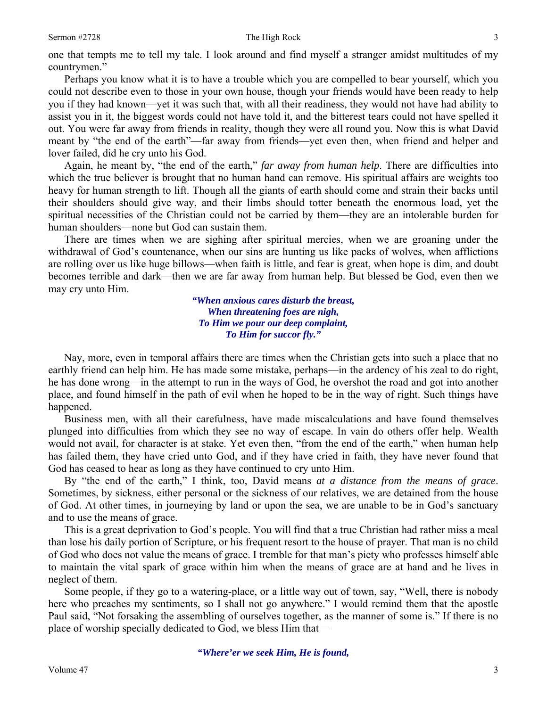### Sermon #2728 3

one that tempts me to tell my tale. I look around and find myself a stranger amidst multitudes of my countrymen."

 Perhaps you know what it is to have a trouble which you are compelled to bear yourself, which you could not describe even to those in your own house, though your friends would have been ready to help you if they had known—yet it was such that, with all their readiness, they would not have had ability to assist you in it, the biggest words could not have told it, and the bitterest tears could not have spelled it out. You were far away from friends in reality, though they were all round you. Now this is what David meant by "the end of the earth"—far away from friends—yet even then, when friend and helper and lover failed, did he cry unto his God.

 Again, he meant by, "the end of the earth," *far away from human help*. There are difficulties into which the true believer is brought that no human hand can remove. His spiritual affairs are weights too heavy for human strength to lift. Though all the giants of earth should come and strain their backs until their shoulders should give way, and their limbs should totter beneath the enormous load, yet the spiritual necessities of the Christian could not be carried by them—they are an intolerable burden for human shoulders—none but God can sustain them.

 There are times when we are sighing after spiritual mercies, when we are groaning under the withdrawal of God's countenance, when our sins are hunting us like packs of wolves, when afflictions are rolling over us like huge billows—when faith is little, and fear is great, when hope is dim, and doubt becomes terrible and dark—then we are far away from human help. But blessed be God, even then we may cry unto Him.

> *"When anxious cares disturb the breast, When threatening foes are nigh, To Him we pour our deep complaint, To Him for succor fly."*

 Nay, more, even in temporal affairs there are times when the Christian gets into such a place that no earthly friend can help him. He has made some mistake, perhaps—in the ardency of his zeal to do right, he has done wrong—in the attempt to run in the ways of God, he overshot the road and got into another place, and found himself in the path of evil when he hoped to be in the way of right. Such things have happened.

 Business men, with all their carefulness, have made miscalculations and have found themselves plunged into difficulties from which they see no way of escape. In vain do others offer help. Wealth would not avail, for character is at stake. Yet even then, "from the end of the earth," when human help has failed them, they have cried unto God, and if they have cried in faith, they have never found that God has ceased to hear as long as they have continued to cry unto Him.

 By "the end of the earth," I think, too, David means *at a distance from the means of grace*. Sometimes, by sickness, either personal or the sickness of our relatives, we are detained from the house of God. At other times, in journeying by land or upon the sea, we are unable to be in God's sanctuary and to use the means of grace.

 This is a great deprivation to God's people. You will find that a true Christian had rather miss a meal than lose his daily portion of Scripture, or his frequent resort to the house of prayer. That man is no child of God who does not value the means of grace. I tremble for that man's piety who professes himself able to maintain the vital spark of grace within him when the means of grace are at hand and he lives in neglect of them.

 Some people, if they go to a watering-place, or a little way out of town, say, "Well, there is nobody here who preaches my sentiments, so I shall not go anywhere." I would remind them that the apostle Paul said, "Not forsaking the assembling of ourselves together, as the manner of some is." If there is no place of worship specially dedicated to God, we bless Him that—

*"Where'er we seek Him, He is found,*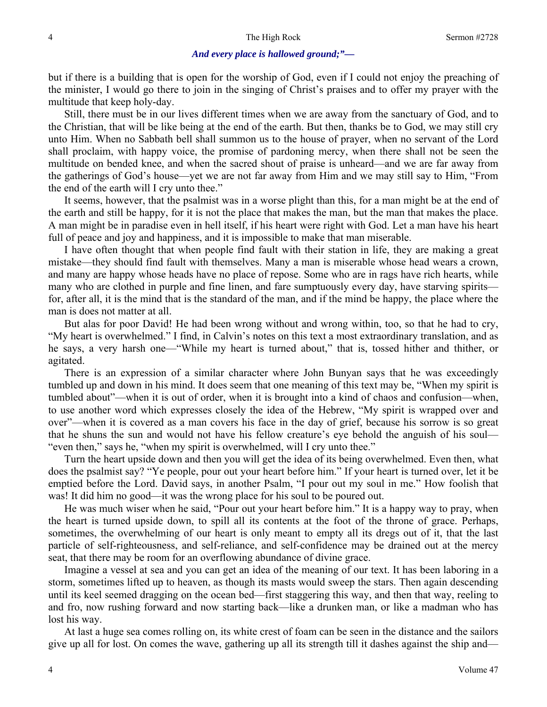## *And every place is hallowed ground;"—*

but if there is a building that is open for the worship of God, even if I could not enjoy the preaching of the minister, I would go there to join in the singing of Christ's praises and to offer my prayer with the multitude that keep holy-day.

 Still, there must be in our lives different times when we are away from the sanctuary of God, and to the Christian, that will be like being at the end of the earth. But then, thanks be to God, we may still cry unto Him. When no Sabbath bell shall summon us to the house of prayer, when no servant of the Lord shall proclaim, with happy voice, the promise of pardoning mercy, when there shall not be seen the multitude on bended knee, and when the sacred shout of praise is unheard—and we are far away from the gatherings of God's house—yet we are not far away from Him and we may still say to Him, "From the end of the earth will I cry unto thee."

 It seems, however, that the psalmist was in a worse plight than this, for a man might be at the end of the earth and still be happy, for it is not the place that makes the man, but the man that makes the place. A man might be in paradise even in hell itself, if his heart were right with God. Let a man have his heart full of peace and joy and happiness, and it is impossible to make that man miserable.

 I have often thought that when people find fault with their station in life, they are making a great mistake—they should find fault with themselves. Many a man is miserable whose head wears a crown, and many are happy whose heads have no place of repose. Some who are in rags have rich hearts, while many who are clothed in purple and fine linen, and fare sumptuously every day, have starving spirits for, after all, it is the mind that is the standard of the man, and if the mind be happy, the place where the man is does not matter at all.

 But alas for poor David! He had been wrong without and wrong within, too, so that he had to cry, "My heart is overwhelmed." I find, in Calvin's notes on this text a most extraordinary translation, and as he says, a very harsh one—"While my heart is turned about," that is, tossed hither and thither, or agitated.

 There is an expression of a similar character where John Bunyan says that he was exceedingly tumbled up and down in his mind. It does seem that one meaning of this text may be, "When my spirit is tumbled about"—when it is out of order, when it is brought into a kind of chaos and confusion—when, to use another word which expresses closely the idea of the Hebrew, "My spirit is wrapped over and over"—when it is covered as a man covers his face in the day of grief, because his sorrow is so great that he shuns the sun and would not have his fellow creature's eye behold the anguish of his soul— "even then," says he, "when my spirit is overwhelmed, will I cry unto thee."

 Turn the heart upside down and then you will get the idea of its being overwhelmed. Even then, what does the psalmist say? "Ye people, pour out your heart before him." If your heart is turned over, let it be emptied before the Lord. David says, in another Psalm, "I pour out my soul in me." How foolish that was! It did him no good—it was the wrong place for his soul to be poured out.

 He was much wiser when he said, "Pour out your heart before him." It is a happy way to pray, when the heart is turned upside down, to spill all its contents at the foot of the throne of grace. Perhaps, sometimes, the overwhelming of our heart is only meant to empty all its dregs out of it, that the last particle of self-righteousness, and self-reliance, and self-confidence may be drained out at the mercy seat, that there may be room for an overflowing abundance of divine grace.

 Imagine a vessel at sea and you can get an idea of the meaning of our text. It has been laboring in a storm, sometimes lifted up to heaven, as though its masts would sweep the stars. Then again descending until its keel seemed dragging on the ocean bed—first staggering this way, and then that way, reeling to and fro, now rushing forward and now starting back—like a drunken man, or like a madman who has lost his way.

 At last a huge sea comes rolling on, its white crest of foam can be seen in the distance and the sailors give up all for lost. On comes the wave, gathering up all its strength till it dashes against the ship and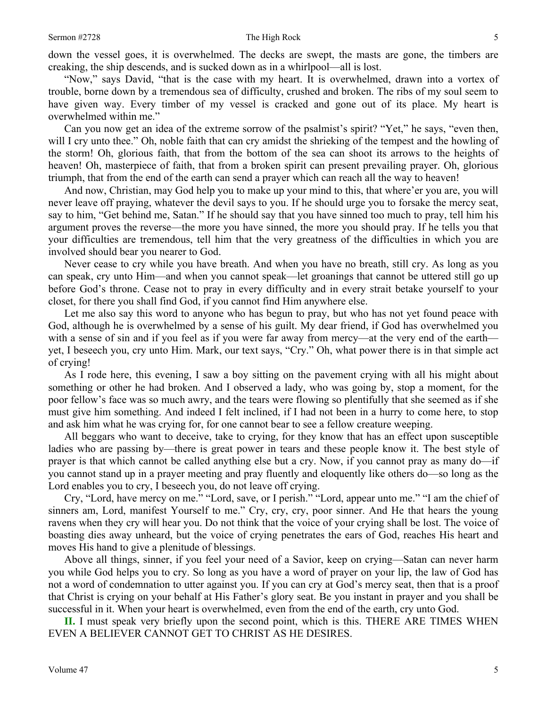down the vessel goes, it is overwhelmed. The decks are swept, the masts are gone, the timbers are creaking, the ship descends, and is sucked down as in a whirlpool—all is lost.

 "Now," says David, "that is the case with my heart. It is overwhelmed, drawn into a vortex of trouble, borne down by a tremendous sea of difficulty, crushed and broken. The ribs of my soul seem to have given way. Every timber of my vessel is cracked and gone out of its place. My heart is overwhelmed within me."

 Can you now get an idea of the extreme sorrow of the psalmist's spirit? "Yet," he says, "even then, will I cry unto thee." Oh, noble faith that can cry amidst the shrieking of the tempest and the howling of the storm! Oh, glorious faith, that from the bottom of the sea can shoot its arrows to the heights of heaven! Oh, masterpiece of faith, that from a broken spirit can present prevailing prayer. Oh, glorious triumph, that from the end of the earth can send a prayer which can reach all the way to heaven!

And now, Christian, may God help you to make up your mind to this, that where' er you are, you will never leave off praying, whatever the devil says to you. If he should urge you to forsake the mercy seat, say to him, "Get behind me, Satan." If he should say that you have sinned too much to pray, tell him his argument proves the reverse—the more you have sinned, the more you should pray. If he tells you that your difficulties are tremendous, tell him that the very greatness of the difficulties in which you are involved should bear you nearer to God.

 Never cease to cry while you have breath. And when you have no breath, still cry. As long as you can speak, cry unto Him—and when you cannot speak—let groanings that cannot be uttered still go up before God's throne. Cease not to pray in every difficulty and in every strait betake yourself to your closet, for there you shall find God, if you cannot find Him anywhere else.

 Let me also say this word to anyone who has begun to pray, but who has not yet found peace with God, although he is overwhelmed by a sense of his guilt. My dear friend, if God has overwhelmed you with a sense of sin and if you feel as if you were far away from mercy—at the very end of the earth yet, I beseech you, cry unto Him. Mark, our text says, "Cry." Oh, what power there is in that simple act of crying!

 As I rode here, this evening, I saw a boy sitting on the pavement crying with all his might about something or other he had broken. And I observed a lady, who was going by, stop a moment, for the poor fellow's face was so much awry, and the tears were flowing so plentifully that she seemed as if she must give him something. And indeed I felt inclined, if I had not been in a hurry to come here, to stop and ask him what he was crying for, for one cannot bear to see a fellow creature weeping.

 All beggars who want to deceive, take to crying, for they know that has an effect upon susceptible ladies who are passing by—there is great power in tears and these people know it. The best style of prayer is that which cannot be called anything else but a cry. Now, if you cannot pray as many do—if you cannot stand up in a prayer meeting and pray fluently and eloquently like others do—so long as the Lord enables you to cry, I beseech you, do not leave off crying.

 Cry, "Lord, have mercy on me." "Lord, save, or I perish." "Lord, appear unto me." "I am the chief of sinners am, Lord, manifest Yourself to me." Cry, cry, cry, poor sinner. And He that hears the young ravens when they cry will hear you. Do not think that the voice of your crying shall be lost. The voice of boasting dies away unheard, but the voice of crying penetrates the ears of God, reaches His heart and moves His hand to give a plenitude of blessings.

 Above all things, sinner, if you feel your need of a Savior, keep on crying—Satan can never harm you while God helps you to cry. So long as you have a word of prayer on your lip, the law of God has not a word of condemnation to utter against you. If you can cry at God's mercy seat, then that is a proof that Christ is crying on your behalf at His Father's glory seat. Be you instant in prayer and you shall be successful in it. When your heart is overwhelmed, even from the end of the earth, cry unto God.

**II.** I must speak very briefly upon the second point, which is this. THERE ARE TIMES WHEN EVEN A BELIEVER CANNOT GET TO CHRIST AS HE DESIRES.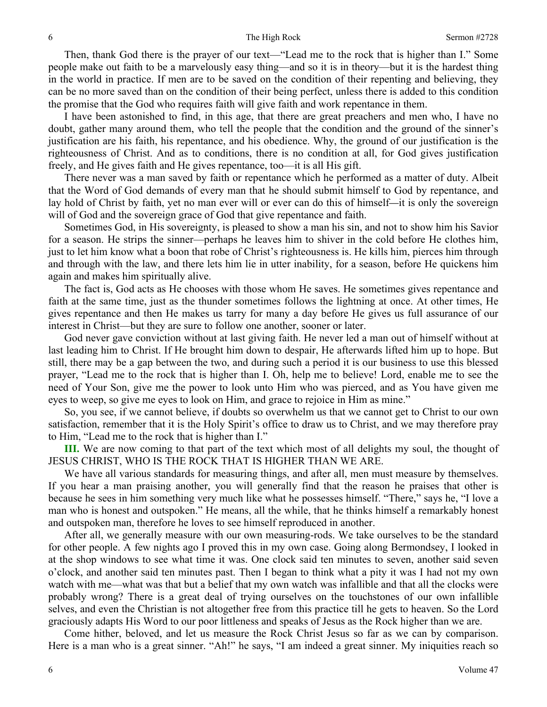Then, thank God there is the prayer of our text—"Lead me to the rock that is higher than I." Some people make out faith to be a marvelously easy thing—and so it is in theory—but it is the hardest thing in the world in practice. If men are to be saved on the condition of their repenting and believing, they can be no more saved than on the condition of their being perfect, unless there is added to this condition the promise that the God who requires faith will give faith and work repentance in them.

 I have been astonished to find, in this age, that there are great preachers and men who, I have no doubt, gather many around them, who tell the people that the condition and the ground of the sinner's justification are his faith, his repentance, and his obedience. Why, the ground of our justification is the righteousness of Christ. And as to conditions, there is no condition at all, for God gives justification freely, and He gives faith and He gives repentance, too—it is all His gift.

 There never was a man saved by faith or repentance which he performed as a matter of duty. Albeit that the Word of God demands of every man that he should submit himself to God by repentance, and lay hold of Christ by faith, yet no man ever will or ever can do this of himself*—*it is only the sovereign will of God and the sovereign grace of God that give repentance and faith.

 Sometimes God, in His sovereignty, is pleased to show a man his sin, and not to show him his Savior for a season. He strips the sinner—perhaps he leaves him to shiver in the cold before He clothes him, just to let him know what a boon that robe of Christ's righteousness is. He kills him, pierces him through and through with the law, and there lets him lie in utter inability, for a season, before He quickens him again and makes him spiritually alive.

 The fact is, God acts as He chooses with those whom He saves. He sometimes gives repentance and faith at the same time, just as the thunder sometimes follows the lightning at once. At other times, He gives repentance and then He makes us tarry for many a day before He gives us full assurance of our interest in Christ—but they are sure to follow one another, sooner or later.

 God never gave conviction without at last giving faith. He never led a man out of himself without at last leading him to Christ. If He brought him down to despair, He afterwards lifted him up to hope. But still, there may be a gap between the two, and during such a period it is our business to use this blessed prayer, "Lead me to the rock that is higher than I. Oh, help me to believe! Lord, enable me to see the need of Your Son, give me the power to look unto Him who was pierced, and as You have given me eyes to weep, so give me eyes to look on Him, and grace to rejoice in Him as mine."

 So, you see, if we cannot believe, if doubts so overwhelm us that we cannot get to Christ to our own satisfaction, remember that it is the Holy Spirit's office to draw us to Christ, and we may therefore pray to Him, "Lead me to the rock that is higher than I."

**III.** We are now coming to that part of the text which most of all delights my soul, the thought of JESUS CHRIST, WHO IS THE ROCK THAT IS HIGHER THAN WE ARE.

 We have all various standards for measuring things, and after all, men must measure by themselves. If you hear a man praising another, you will generally find that the reason he praises that other is because he sees in him something very much like what he possesses himself. "There," says he, "I love a man who is honest and outspoken." He means, all the while, that he thinks himself a remarkably honest and outspoken man, therefore he loves to see himself reproduced in another.

 After all, we generally measure with our own measuring-rods. We take ourselves to be the standard for other people. A few nights ago I proved this in my own case. Going along Bermondsey, I looked in at the shop windows to see what time it was. One clock said ten minutes to seven, another said seven o'clock, and another said ten minutes past. Then I began to think what a pity it was I had not my own watch with me—what was that but a belief that my own watch was infallible and that all the clocks were probably wrong? There is a great deal of trying ourselves on the touchstones of our own infallible selves, and even the Christian is not altogether free from this practice till he gets to heaven. So the Lord graciously adapts His Word to our poor littleness and speaks of Jesus as the Rock higher than we are.

 Come hither, beloved, and let us measure the Rock Christ Jesus so far as we can by comparison. Here is a man who is a great sinner. "Ah!" he says, "I am indeed a great sinner. My iniquities reach so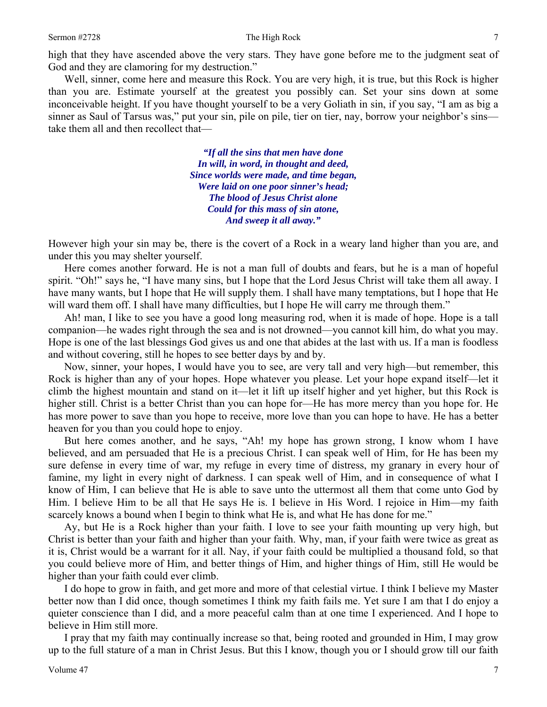high that they have ascended above the very stars. They have gone before me to the judgment seat of God and they are clamoring for my destruction."

 Well, sinner, come here and measure this Rock. You are very high, it is true, but this Rock is higher than you are. Estimate yourself at the greatest you possibly can. Set your sins down at some inconceivable height. If you have thought yourself to be a very Goliath in sin, if you say, "I am as big a sinner as Saul of Tarsus was," put your sin, pile on pile, tier on tier, nay, borrow your neighbor's sins take them all and then recollect that—

> *"If all the sins that men have done In will, in word, in thought and deed, Since worlds were made, and time began, Were laid on one poor sinner's head; The blood of Jesus Christ alone Could for this mass of sin atone, And sweep it all away."*

However high your sin may be, there is the covert of a Rock in a weary land higher than you are, and under this you may shelter yourself.

 Here comes another forward. He is not a man full of doubts and fears, but he is a man of hopeful spirit. "Oh!" says he, "I have many sins, but I hope that the Lord Jesus Christ will take them all away. I have many wants, but I hope that He will supply them. I shall have many temptations, but I hope that He will ward them off. I shall have many difficulties, but I hope He will carry me through them."

 Ah! man, I like to see you have a good long measuring rod, when it is made of hope. Hope is a tall companion—he wades right through the sea and is not drowned—you cannot kill him, do what you may. Hope is one of the last blessings God gives us and one that abides at the last with us. If a man is foodless and without covering, still he hopes to see better days by and by.

 Now, sinner, your hopes, I would have you to see, are very tall and very high—but remember, this Rock is higher than any of your hopes. Hope whatever you please. Let your hope expand itself—let it climb the highest mountain and stand on it—let it lift up itself higher and yet higher, but this Rock is higher still. Christ is a better Christ than you can hope for—He has more mercy than you hope for. He has more power to save than you hope to receive, more love than you can hope to have. He has a better heaven for you than you could hope to enjoy.

 But here comes another, and he says, "Ah! my hope has grown strong, I know whom I have believed, and am persuaded that He is a precious Christ. I can speak well of Him, for He has been my sure defense in every time of war, my refuge in every time of distress, my granary in every hour of famine, my light in every night of darkness. I can speak well of Him, and in consequence of what I know of Him, I can believe that He is able to save unto the uttermost all them that come unto God by Him. I believe Him to be all that He says He is. I believe in His Word. I rejoice in Him—my faith scarcely knows a bound when I begin to think what He is, and what He has done for me."

 Ay, but He is a Rock higher than your faith. I love to see your faith mounting up very high, but Christ is better than your faith and higher than your faith. Why, man, if your faith were twice as great as it is, Christ would be a warrant for it all. Nay, if your faith could be multiplied a thousand fold, so that you could believe more of Him, and better things of Him, and higher things of Him, still He would be higher than your faith could ever climb.

 I do hope to grow in faith, and get more and more of that celestial virtue. I think I believe my Master better now than I did once, though sometimes I think my faith fails me. Yet sure I am that I do enjoy a quieter conscience than I did, and a more peaceful calm than at one time I experienced. And I hope to believe in Him still more.

 I pray that my faith may continually increase so that, being rooted and grounded in Him, I may grow up to the full stature of a man in Christ Jesus. But this I know, though you or I should grow till our faith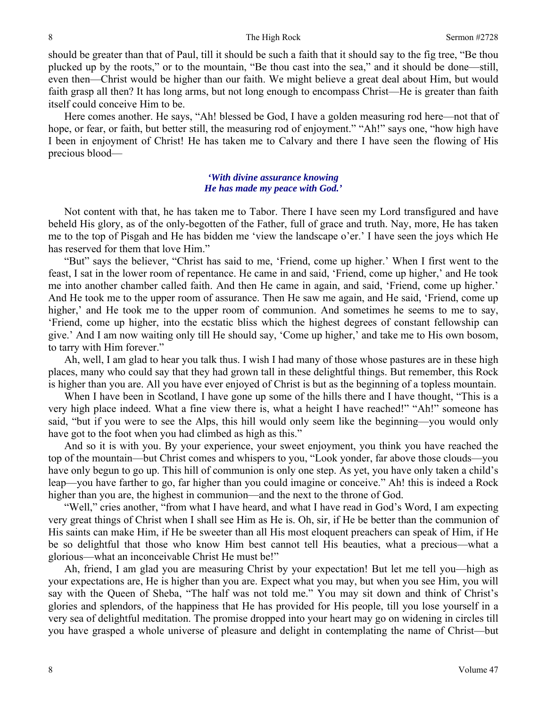should be greater than that of Paul, till it should be such a faith that it should say to the fig tree, "Be thou plucked up by the roots," or to the mountain, "Be thou cast into the sea," and it should be done—still, even then—Christ would be higher than our faith. We might believe a great deal about Him, but would faith grasp all then? It has long arms, but not long enough to encompass Christ—He is greater than faith itself could conceive Him to be.

 Here comes another. He says, "Ah! blessed be God, I have a golden measuring rod here—not that of hope, or fear, or faith, but better still, the measuring rod of enjoyment." "Ah!" says one, "how high have I been in enjoyment of Christ! He has taken me to Calvary and there I have seen the flowing of His precious blood—

# *'With divine assurance knowing He has made my peace with God.'*

 Not content with that, he has taken me to Tabor. There I have seen my Lord transfigured and have beheld His glory, as of the only-begotten of the Father, full of grace and truth. Nay, more, He has taken me to the top of Pisgah and He has bidden me 'view the landscape o'er.' I have seen the joys which He has reserved for them that love Him."

 "But" says the believer, "Christ has said to me, 'Friend, come up higher.' When I first went to the feast, I sat in the lower room of repentance. He came in and said, 'Friend, come up higher,' and He took me into another chamber called faith. And then He came in again, and said, 'Friend, come up higher.' And He took me to the upper room of assurance. Then He saw me again, and He said, 'Friend, come up higher,' and He took me to the upper room of communion. And sometimes he seems to me to say, 'Friend, come up higher, into the ecstatic bliss which the highest degrees of constant fellowship can give.' And I am now waiting only till He should say, 'Come up higher,' and take me to His own bosom, to tarry with Him forever."

 Ah, well, I am glad to hear you talk thus. I wish I had many of those whose pastures are in these high places, many who could say that they had grown tall in these delightful things. But remember, this Rock is higher than you are. All you have ever enjoyed of Christ is but as the beginning of a topless mountain.

 When I have been in Scotland, I have gone up some of the hills there and I have thought, "This is a very high place indeed. What a fine view there is, what a height I have reached!" "Ah!" someone has said, "but if you were to see the Alps, this hill would only seem like the beginning—you would only have got to the foot when you had climbed as high as this."

 And so it is with you. By your experience, your sweet enjoyment, you think you have reached the top of the mountain—but Christ comes and whispers to you, "Look yonder, far above those clouds—you have only begun to go up. This hill of communion is only one step. As yet, you have only taken a child's leap—you have farther to go, far higher than you could imagine or conceive." Ah! this is indeed a Rock higher than you are, the highest in communion—and the next to the throne of God.

 "Well," cries another, "from what I have heard, and what I have read in God's Word, I am expecting very great things of Christ when I shall see Him as He is. Oh, sir, if He be better than the communion of His saints can make Him, if He be sweeter than all His most eloquent preachers can speak of Him, if He be so delightful that those who know Him best cannot tell His beauties, what a precious—what a glorious—what an inconceivable Christ He must be!"

 Ah, friend, I am glad you are measuring Christ by your expectation! But let me tell you—high as your expectations are, He is higher than you are. Expect what you may, but when you see Him, you will say with the Queen of Sheba, "The half was not told me." You may sit down and think of Christ's glories and splendors, of the happiness that He has provided for His people, till you lose yourself in a very sea of delightful meditation. The promise dropped into your heart may go on widening in circles till you have grasped a whole universe of pleasure and delight in contemplating the name of Christ—but